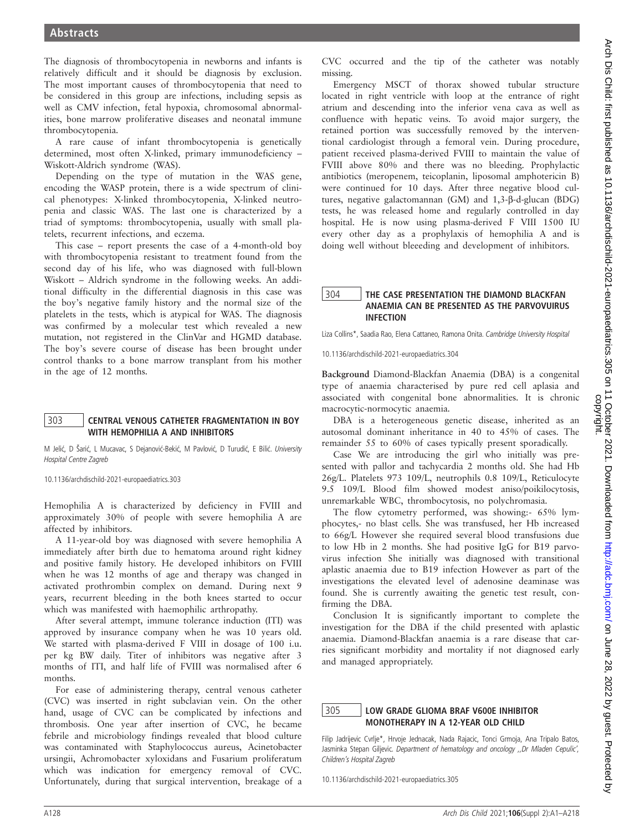The diagnosis of thrombocytopenia in newborns and infants is relatively difficult and it should be diagnosis by exclusion. The most important causes of thrombocytopenia that need to be considered in this group are infections, including sepsis as well as CMV infection, fetal hypoxia, chromosomal abnormalities, bone marrow proliferative diseases and neonatal immune thrombocytopenia.

A rare cause of infant thrombocytopenia is genetically determined, most often X-linked, primary immunodeficiency – Wiskott-Aldrich syndrome (WAS).

Depending on the type of mutation in the WAS gene, encoding the WASP protein, there is a wide spectrum of clinical phenotypes: X-linked thrombocytopenia, X-linked neutropenia and classic WAS. The last one is characterized by a triad of symptoms: thrombocytopenia, usually with small platelets, recurrent infections, and eczema.

This case – report presents the case of a 4-month-old boy with thrombocytopenia resistant to treatment found from the second day of his life, who was diagnosed with full-blown Wiskott – Aldrich syndrome in the following weeks. An additional difficulty in the differential diagnosis in this case was the boy's negative family history and the normal size of the platelets in the tests, which is atypical for WAS. The diagnosis was confirmed by a molecular test which revealed a new mutation, not registered in the ClinVar and HGMD database. The boy's severe course of disease has been brought under control thanks to a bone marrow transplant from his mother in the age of 12 months.

# 303 CENTRAL VENOUS CATHETER FRAGMENTATION IN BOY WITH HEMOPHILIA A AND INHIBITORS

M Jelić, D Šarić, L Mucavac, S Dejanović-Bekić, M Pavlović, D Turudić, E Bilić. University Hospital Centre Zagreb

10.1136/archdischild-2021-europaediatrics.303

Hemophilia A is characterized by deficiency in FVIII and approximately 30% of people with severe hemophilia A are affected by inhibitors.

A 11-year-old boy was diagnosed with severe hemophilia A immediately after birth due to hematoma around right kidney and positive family history. He developed inhibitors on FVIII when he was 12 months of age and therapy was changed in activated prothrombin complex on demand. During next 9 years, recurrent bleeding in the both knees started to occur which was manifested with haemophilic arthropathy.

After several attempt, immune tolerance induction (ITI) was approved by insurance company when he was 10 years old. We started with plasma-derived F VIII in dosage of 100 i.u. per kg BW daily. Titer of inhibitors was negative after 3 months of ITI, and half life of FVIII was normalised after 6 months.

For ease of administering therapy, central venous catheter (CVC) was inserted in right subclavian vein. On the other hand, usage of CVC can be complicated by infections and thrombosis. One year after insertion of CVC, he became febrile and microbiology findings revealed that blood culture was contaminated with Staphylococcus aureus, Acinetobacter ursingii, Achromobacter xyloxidans and Fusarium proliferatum which was indication for emergency removal of CVC. Unfortunately, during that surgical intervention, breakage of a

CVC occurred and the tip of the catheter was notably missing.

Emergency MSCT of thorax showed tubular structure located in right ventricle with loop at the entrance of right atrium and descending into the inferior vena cava as well as confluence with hepatic veins. To avoid major surgery, the retained portion was successfully removed by the interventional cardiologist through a femoral vein. During procedure, patient received plasma-derived FVIII to maintain the value of FVIII above 80% and there was no bleeding. Prophylactic antibiotics (meropenem, teicoplanin, liposomal amphotericin B) were continued for 10 days. After three negative blood cultures, negative galactomannan (GM) and 1,3-b-d-glucan (BDG) tests, he was released home and regularly controlled in day hospital. He is now using plasma-derived F VIII 1500 IU every other day as a prophylaxis of hemophilia A and is doing well without bleeeding and development of inhibitors.

## 304 THE CASE PRESENTATION THE DIAMOND BLACKFAN ANAEMIA CAN BE PRESENTED AS THE PARVOVUIRUS INFECTION

Liza Collins\*, Saadia Rao, Elena Cattaneo, Ramona Onita. Cambridge University Hospital

10.1136/archdischild-2021-europaediatrics.304

Background Diamond-Blackfan Anaemia (DBA) is a congenital type of anaemia characterised by pure red cell aplasia and associated with congenital bone abnormalities. It is chronic macrocytic-normocytic anaemia.

DBA is a heterogeneous genetic disease, inherited as an autosomal dominant inheritance in 40 to 45% of cases. The remainder 55 to 60% of cases typically present sporadically.

Case We are introducing the girl who initially was presented with pallor and tachycardia 2 months old. She had Hb 26g/L. Platelets 973 109/L, neutrophils 0.8 109/L, Reticulocyte 9.5 109/L Blood film showed modest aniso/poikilocytosis, unremarkable WBC, thrombocytosis, no polychromasia.

The flow cytometry performed, was showing:- 65% lymphocytes,- no blast cells. She was transfused, her Hb increased to 66g/L However she required several blood transfusions due to low Hb in 2 months. She had positive IgG for B19 parvovirus infection She initially was diagnosed with transitional aplastic anaemia due to B19 infection However as part of the investigations the elevated level of adenosine deaminase was found. She is currently awaiting the genetic test result, confirming the DBA.

Conclusion It is significantly important to complete the investigation for the DBA if the child presented with aplastic anaemia. Diamond-Blackfan anaemia is a rare disease that carries significant morbidity and mortality if not diagnosed early and managed appropriately.

#### 305 LOW GRADE GLIOMA BRAF V600E INHIBITOR MONOTHERAPY IN A 12-YEAR OLD CHILD

Filip Jadrijevic Cvrlje\*, Hrvoje Jednacak, Nada Rajacic, Tonci Grmoja, Ana Tripalo Batos, Jasminka Stepan Giljevic. Department of hematology and oncology ,,Dr Mladen Cepulic', Children's Hospital Zagreb

10.1136/archdischild-2021-europaediatrics.305